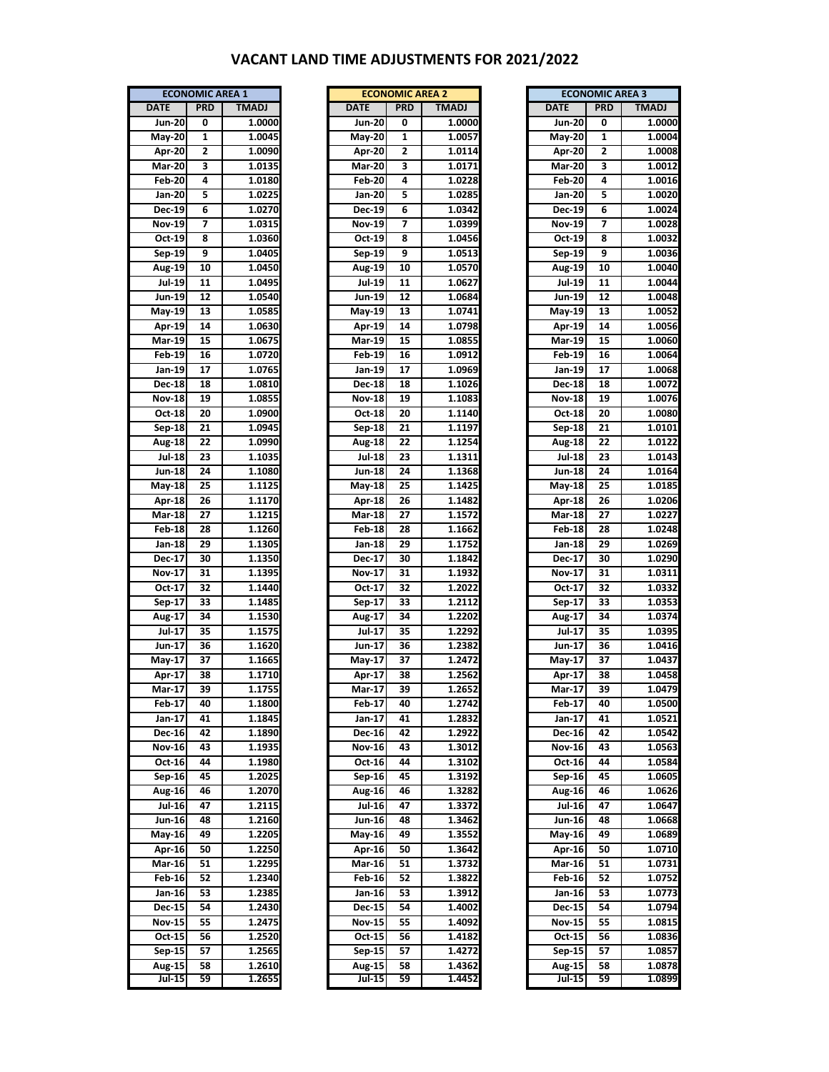## **VACANT LAND TIME ADJUSTMENTS FOR 2021/2022**

| <b>ECONOMIC AREA 1</b> |                 |              |  |  |  |  |
|------------------------|-----------------|--------------|--|--|--|--|
| <b>DATE</b>            | <b>PRD</b>      | <b>TMADJ</b> |  |  |  |  |
| Jun- $\overline{20}$   | 0               | 1.0000       |  |  |  |  |
| <b>May-20</b>          | $\mathbf{1}$    | 1.0045       |  |  |  |  |
| Apr-20                 | $\overline{2}$  | 1.0090       |  |  |  |  |
| <b>Mar-20</b>          | 3               | 1.0135       |  |  |  |  |
| Feb-20                 | 4               | 1.0180       |  |  |  |  |
| Jan-20                 | 5               | 1.0225       |  |  |  |  |
| Dec-19                 | 6               | 1.0270       |  |  |  |  |
| <b>Nov-19</b>          | 7               | 1.0315       |  |  |  |  |
| $Oct-19$               | 8               | 1.0360       |  |  |  |  |
| Sep-19                 | 9               | 1.0405       |  |  |  |  |
| Aug-19                 | 10              | 1.0450       |  |  |  |  |
| Jul-19                 | 11              | 1.0495       |  |  |  |  |
| Jun-19                 | 12              | 1.0540       |  |  |  |  |
| May-19                 | 13              | 1.0585       |  |  |  |  |
| Apr-19                 | 14              | 1.0630       |  |  |  |  |
| Mar-19                 | 15              | 1.0675       |  |  |  |  |
| Feb-19                 | 16              | 1.0720       |  |  |  |  |
| Jan-19                 | 17              | 1.0765       |  |  |  |  |
|                        |                 |              |  |  |  |  |
| $Dec-18$               | 18              | 1.0810       |  |  |  |  |
| $Nov-18$               | 19              | 1.0855       |  |  |  |  |
| Oct-18                 | 20              | 1.0900       |  |  |  |  |
| Sep-18                 | 21              | 1.0945       |  |  |  |  |
| <b>Aug-18</b>          | 22              | 1.0990       |  |  |  |  |
| <b>Jul-18</b>          | 23              | 1.1035       |  |  |  |  |
| Jun 18                 | 24              | 1.1080       |  |  |  |  |
| May-18                 | 25              | 1.1125       |  |  |  |  |
| Apr-18                 | 26              | 1.1170       |  |  |  |  |
| Mar-18                 | 27              | 1.1215       |  |  |  |  |
| <b>Feb-18</b>          | 28              | 1.1260       |  |  |  |  |
| Jan-18                 | 29              | 1.1305       |  |  |  |  |
| Dec-17                 | 30              | 1.1350       |  |  |  |  |
| Nov-17                 | 31              | 1.1395       |  |  |  |  |
| $Oct-17$               | 32              | 1.1440       |  |  |  |  |
| Sep-17                 | 33              | 1.1485       |  |  |  |  |
| Aug-17                 | 34              | 1.1530       |  |  |  |  |
| Jul-17                 | 35              | 1.1575       |  |  |  |  |
| Jun-17                 | 36              | 1.1620       |  |  |  |  |
| May-17                 | 37              | 1.1665       |  |  |  |  |
| Apr-17                 | 38              | 1.1710       |  |  |  |  |
| <b>Mar-17</b>          | 39              | 1.1755       |  |  |  |  |
| Feb 17                 | 40              | 1.1800       |  |  |  |  |
| Jan-17                 | 41              | 1.1845       |  |  |  |  |
| Dec-16                 | 42              | 1.1890       |  |  |  |  |
| <b>Nov-16</b>          | 43              | 1.1935       |  |  |  |  |
| Oct-16                 | 44              | 1.1980       |  |  |  |  |
| Sep-16                 | 45              | 1.2025       |  |  |  |  |
| Aug-16                 | 46              | 1.2070       |  |  |  |  |
| <b>Jul-16</b>          | 47              | 1.2115       |  |  |  |  |
| Jun-16                 | 48              | 1.2160       |  |  |  |  |
| May-16                 | 49              | 1.2205       |  |  |  |  |
| Apr-16                 | 50              | 1.2250       |  |  |  |  |
| <b>Mar-16</b>          | 51              | 1.2295       |  |  |  |  |
| Feb 16                 | 52              | 1.2340       |  |  |  |  |
| Jan-16                 | $\overline{53}$ | 1.2385       |  |  |  |  |
| <b>Dec-15</b>          | 54              | 1.2430       |  |  |  |  |
| Nov-15                 | 55              | 1.2475       |  |  |  |  |
| Oct-15                 | 56              | 1.2520       |  |  |  |  |
| Sep-15                 | 57              | 1.2565       |  |  |  |  |
| Aug-15                 | 58              | 1.2610       |  |  |  |  |
| Jul-15                 | 59              | 1.2655       |  |  |  |  |
|                        |                 |              |  |  |  |  |

|               | <b>ECONOMIC AREA 1</b> |              | <b>ECONOMIC AREA 2</b> |            |              | <b>ECONOMIC AREA 3</b> |            |              |
|---------------|------------------------|--------------|------------------------|------------|--------------|------------------------|------------|--------------|
| <b>DATE</b>   | <b>PRD</b>             | <b>TMADJ</b> | <b>DATE</b>            | <b>PRD</b> | <b>TMADJ</b> | <b>DATE</b>            | <b>PRD</b> | <b>TMADJ</b> |
| <b>Jun-20</b> | 0                      | 1.0000       | <b>Jun-20</b>          | 0          | 1.0000       | <b>Jun-20</b>          | 0          | 1.0000       |
| May-20        | 1                      | 1.0045       | May-20                 | 1          | 1.0057       | May-20                 | 1          | 1.0004       |
| Apr-20        | 2                      | 1.0090       | Apr-20                 | 2          | 1.0114       | Apr-20                 | 2          | 1.0008       |
| <b>Mar-20</b> | 3                      | 1.0135       | <b>Mar-20</b>          | 3          | 1.0171       | <b>Mar-20</b>          | 3          | 1.0012       |
| <b>Feb-20</b> | 4                      | 1.0180       | <b>Feb-20</b>          | 4          | 1.0228       | <b>Feb 20</b>          | 4          | 1.0016       |
|               | 5                      | 1.0225       |                        |            | 1.0285       | Jan-20                 | 5          |              |
| Jan-20        |                        |              | Jan-20                 | 5          |              |                        |            | 1.0020       |
| Dec-19        | 6                      | 1.0270       | Dec-19                 | 6          | 1.0342       | Dec-19                 | 6          | 1.0024       |
| <b>Nov-19</b> | 7                      | 1.0315       | <b>Nov-19</b>          | 7          | 1.0399       | <b>Nov-19</b>          | 7          | 1.0028       |
| Oct 19        | 8                      | 1.0360       | Oct 19                 | 8          | 1.0456       | Oct 19                 | 8          | 1.0032       |
| Sep-19        | 9                      | 1.0405       | Sep-19                 | 9          | 1.0513       | Sep-19                 | 9          | 1.0036       |
| Aug-19        | 10                     | 1.0450       | Aug-19                 | 10         | 1.0570       | Aug-19                 | 10         | 1.0040       |
| <b>Jul-19</b> | 11                     | 1.0495       | Jul-19                 | 11         | 1.0627       | Jul-19                 | 11         | 1.0044       |
| Jun-19        | 12                     | 1.0540       | Jun-19                 | 12         | 1.0684       | Jun-19                 | 12         | 1.0048       |
| May-19        | 13                     | 1.0585       | May 19                 | 13         | 1.0741       | May 19                 | 13         | 1.0052       |
| Apr-19        | 14                     | 1.0630       | Apr-19                 | 14         | 1.0798       | Apr-19                 | 14         | 1.0056       |
| <b>Mar-19</b> | 15                     | 1.0675       | <b>Mar-19</b>          | 15         | 1.0855       | <b>Mar-19</b>          | 15         | 1.0060       |
| <b>Feb-19</b> | 16                     | 1.0720       | Feb-19                 | 16         | 1.0912       | <b>Feb-19</b>          | 16         | 1.0064       |
| Jan-19        | 17                     | 1.0765       | Jan-19                 | 17         | 1.0969       | Jan-19                 | 17         | 1.0068       |
| Dec-18        | 18                     | 1.0810       | Dec-18                 | 18         | 1.1026       | <b>Dec-18</b>          | 18         | 1.0072       |
| <b>Nov-18</b> | 19                     | 1.0855       | <b>Nov-18</b>          | 19         | 1.1083       | <b>Nov-18</b>          | 19         | 1.0076       |
| Oct 18        | 20                     | 1.0900       | Oct-18                 | 20         | 1.1140       | Oct 18                 | 20         | 1.0080       |
| Sep-18        | 21                     | 1.0945       | Sep-18                 | 21         | 1.1197       | Sep-18                 | 21         | 1.0101       |
| Aug-18        | 22                     | 1.0990       | <b>Aug-18</b>          | 22         | 1.1254       | <b>Aug-18</b>          | 22         | 1.0122       |
| <b>Jul-18</b> | 23                     | 1.1035       | Jul-18                 | 23         | 1.1311       | <b>Jul-18</b>          | 23         | 1.0143       |
| <b>Jun-18</b> | 24                     | 1.1080       | Jun-18                 | 24         | 1.1368       | Jun-18                 | 24         | 1.0164       |
| May-18        | 25                     | 1.1125       | May 18                 | 25         | 1.1425       | May 18                 | 25         | 1.0185       |
|               |                        |              |                        |            |              |                        |            |              |
| Apr 18        | 26                     | 1.1170       | <b>Apr-18</b>          | 26         | 1.1482       | Apr-18                 | 26         | 1.0206       |
| <b>Mar-18</b> | 27                     | 1.1215       | <b>Mar-18</b>          | 27         | 1.1572       | <b>Mar-18</b>          | 27         | 1.0227       |
| <b>Feb-18</b> | 28                     | 1.1260       | <b>Feb-18</b>          | 28         | 1.1662       | <b>Feb</b> 18          | 28         | 1.0248       |
| Jan-18        | 29                     | 1.1305       | Jan-18                 | 29         | 1.1752       | Jan-18                 | 29         | 1.0269       |
| Dec-17        | 30                     | 1.1350       | Dec-17                 | 30         | 1.1842       | Dec-17                 | 30         | 1.0290       |
| Nov-17        | 31                     | 1.1395       | <b>Nov-17</b>          | 31         | 1.1932       | <b>Nov-17</b>          | 31         | 1.0311       |
| Oct 17        | 32                     | 1.1440       | Oct 17                 | 32         | 1.2022       | Oct 17                 | 32         | 1.0332       |
| Sep-17        | 33                     | 1.1485       | Sep-17                 | 33         | 1.2112       | Sep-17                 | 33         | 1.0353       |
| <b>Aug-17</b> | 34                     | 1.1530       | Aug-17                 | 34         | 1.2202       | Aug-17                 | 34         | 1.0374       |
| Jul-17        | 35                     | 1.1575       | Jul-17                 | 35         | 1.2292       | Jul-17                 | 35         | 1.0395       |
| Jun-17        | 36                     | 1.1620       | Jun-17                 | 36         | 1.2382       | Jun-17                 | 36         | 1.0416       |
| May-17        | 37                     | 1.1665       | May 17                 | 37         | 1.2472       | May-17                 | 37         | 1.0437       |
| Apr $17$      | 38                     | 1.1710       | Apr-17                 | 38         | 1.2562       | Apr-17                 | 38         | 1.0458       |
| Mar-17        | 39                     | 1.1755       | <b>Mar-17</b>          | 39         | 1.2652       | <b>Mar-17</b>          | 39         | 1.0479       |
| Feb-17        | 40                     | 1.1800       | Feb-17                 | 40         | 1.2742       | <b>Feb 17</b>          | 40         | 1.0500       |
| Jan-17        | 41                     | 1.1845       | Jan-17                 | 41         | 1.2832       | Jan-17                 | 41         | 1.0521       |
| Dec-16        | 42                     | 1.1890       | Dec-16                 | 42         | 1.2922       | Dec-16                 | 42         | 1.0542       |
| <b>Nov-16</b> | 43                     | 1.1935       | <b>Nov-16</b>          | 43         | 1.3012       | <b>Nov-16</b>          | 43         | 1.0563       |
| Oct 16        | 44                     | 1.1980       | Oct 16                 | 44         | 1.3102       | Oct 16                 | 44         | 1.0584       |
| $Sep-16$      | 45                     | 1.2025       | Sep-16                 | 45         | 1.3192       | Sep-16                 | 45         | 1.0605       |
| <b>Aug 16</b> | 46                     | 1.2070       | Aug-16                 | 46         | 1.3282       | <b>Aug 16</b>          | 46         | 1.0626       |
|               | 47                     | 1.2115       | <b>Jul-16</b>          | 47         | 1.3372       |                        | 47         |              |
| <b>Jul-16</b> |                        |              |                        |            |              | <b>Jul-16</b>          |            | 1.0647       |
| Jun-16        | 48                     | 1.2160       | Jun-16                 | 48         | 1.3462       | Jun-16                 | 48         | 1.0668       |
| May-16        | 49                     | 1.2205       | May 16                 | 49         | 1.3552       | May-16                 | 49         | 1.0689       |
| Apr 16        | 50                     | 1.2250       | Apr-16                 | 50         | 1.3642       | Apr-16                 | 50         | 1.0710       |
| <b>Mar-16</b> | 51                     | 1.2295       | <b>Mar-16</b>          | 51         | 1.3732       | <b>Mar-16</b>          | 51         | 1.0731       |
| <b>Feb 16</b> | 52                     | 1.2340       | <b>Feb 16</b>          | 52         | 1.3822       | <b>Feb 16</b>          | 52         | 1.0752       |
| Jan-16        | 53                     | 1.2385       | Jan-16                 | 53         | 1.3912       | Jan-16                 | 53         | 1.0773       |
| Dec-15        | 54                     | 1.2430       | Dec-15                 | 54         | 1.4002       | Dec-15                 | 54         | 1.0794       |
| Nov-15        | 55                     | 1.2475       | <b>Nov-15</b>          | 55         | 1.4092       | Nov 15                 | 55         | 1.0815       |
| Oct 15        | 56                     | 1.2520       | Oct 15                 | 56         | 1.4182       | Oct 15                 | 56         | 1.0836       |
| Sep 15        | 57                     | 1.2565       | Sep 15                 | 57         | 1.4272       | Sep 15                 | 57         | 1.0857       |
| Aug-15        | 58                     | 1.2610       | <b>Aug 15</b>          | 58         | 1.4362       | Aug-15                 | 58         | 1.0878       |
| $Jul-15$      | 59                     | 1.2655       | $Jul-15$               | 59         | 1.4452       | $Jul-15$               | 59         | 1.0899       |
|               |                        |              |                        |            |              |                        |            |              |

| <b>ECONOMIC AREA 3</b> |                |                     |  |  |  |  |
|------------------------|----------------|---------------------|--|--|--|--|
| <b>DATE</b>            | <b>PRD</b>     | <b>TMADJ</b>        |  |  |  |  |
| Jun-20                 | 0              | 1.0000              |  |  |  |  |
| May-20                 | 1              | 1.0004              |  |  |  |  |
| Apr-20                 | $\overline{c}$ | 1.0008              |  |  |  |  |
| $Mar-20$               | 3              | 1.0012              |  |  |  |  |
| <b>Feb-20</b>          | 4              | 1.0016              |  |  |  |  |
| Jan-20                 | 5              | 1.0020              |  |  |  |  |
| Dec-19                 | 6              | 1.0024              |  |  |  |  |
| Nov-19                 | 7              | 1.0028              |  |  |  |  |
| Oct 19                 | 8              | 1.0032              |  |  |  |  |
| Sep-19                 | 9              | 1.0036              |  |  |  |  |
| Aug-19                 | 10             | 1.0040              |  |  |  |  |
| Jul-19                 | 11             | 1.0044              |  |  |  |  |
| Jun-19                 | 12             | 1.0048              |  |  |  |  |
| $May-19$               | 13             | 1.0052              |  |  |  |  |
| $Apr-19$               | 14             | 1.0056              |  |  |  |  |
| <b>Mar-19</b>          | 15             | 1.0060              |  |  |  |  |
| Feb-19                 | 16             | 1.0064              |  |  |  |  |
| Jan-19                 | 17             | 1.0068              |  |  |  |  |
| <b>Dec-18</b>          | 18             | 1.0072              |  |  |  |  |
| <b>Nov-18</b>          | 19             | $\overline{1.0076}$ |  |  |  |  |
| Oct-18                 | 20             | 1.0080              |  |  |  |  |
|                        | 21             | 1.0101              |  |  |  |  |
| Sep-18                 |                |                     |  |  |  |  |
| Aug-18                 | 22             | 1.0122              |  |  |  |  |
| Jul 18                 | 23             | 1.0143              |  |  |  |  |
| Jun-18                 | 24             | 1.0164              |  |  |  |  |
| May-18                 | 25             | 1.0185              |  |  |  |  |
| Apr-18                 | 26             | 1.0206              |  |  |  |  |
| Mar 18                 | 27             | 1.0227              |  |  |  |  |
| Feb-18                 | 28             | 1.0248              |  |  |  |  |
| Jan-18                 | 29             | 1.0269              |  |  |  |  |
| Dec-17                 | 30             | 1.0290              |  |  |  |  |
| Nov-17                 | 31             | 1.0311              |  |  |  |  |
| Oct-17                 | 32             | 1.0332              |  |  |  |  |
| $Sep-17$               | 33             | 1.0353              |  |  |  |  |
| Aug-17                 | 34             | 1.0374              |  |  |  |  |
| Jul-17                 | 35             | 1.0395              |  |  |  |  |
| Jun-17                 | 36             | 1.0416              |  |  |  |  |
| May-17                 | 37             | 1.0437              |  |  |  |  |
| Apr-17                 | 38             | 1.0458              |  |  |  |  |
| Mar 17                 | 30             | 1.0479              |  |  |  |  |
| $Feb-17$               | 40             | 1.0500              |  |  |  |  |
| Jan-17                 | 41             | 1.0521              |  |  |  |  |
| $Dec-16$               | 42             | 1.0542              |  |  |  |  |
| <b>Nov-16</b>          | 43             | 1.0563              |  |  |  |  |
| Oct-16                 | 44             | 1.0584              |  |  |  |  |
| $Sep-16$               | 45             | 1.0605              |  |  |  |  |
| Aug-16                 | 46             | 1.0626              |  |  |  |  |
| <b>Jul-16</b>          | 47             | 1.0647              |  |  |  |  |
| Jun-16                 | 48             | 1.0668              |  |  |  |  |
| May-16                 | 49             | 1.0689              |  |  |  |  |
| Apr-16                 | 50             | 1.0710              |  |  |  |  |
| <b>Mar-16</b>          | 51             | 1.0731              |  |  |  |  |
| $Feb-16$               | 52             | 1.0752              |  |  |  |  |
| Jan-16                 | 53             | 1.0773              |  |  |  |  |
| $Dec-15$               | 54             | 1.0794              |  |  |  |  |
| <b>Nov-15</b>          | 55             | 1.0815              |  |  |  |  |
| Oct-15                 | 56             | 1.0836              |  |  |  |  |
| $Sep-15$               | 57             | 1.0857              |  |  |  |  |
| Aug-15                 | 58             | 1.0878              |  |  |  |  |
| Jul-15                 | 59             | 1.0899              |  |  |  |  |
|                        |                |                     |  |  |  |  |